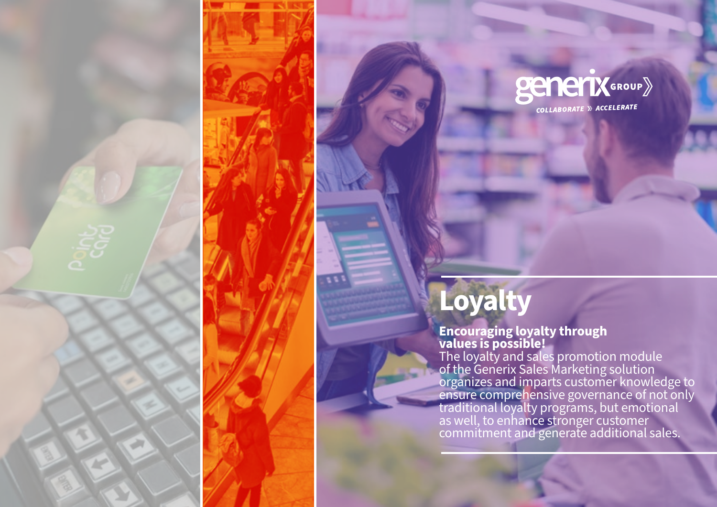

# **Loyalty**

### **Encouraging loyalty through values is possible!**

The loyalty and sales promotion module of the Generix Sales Marketing solution organizes and imparts customer knowledge to ensure comprehensive governance of not only traditional loyalty programs, but emotional as well, to enhance stronger customer commitment and generate additional sales.